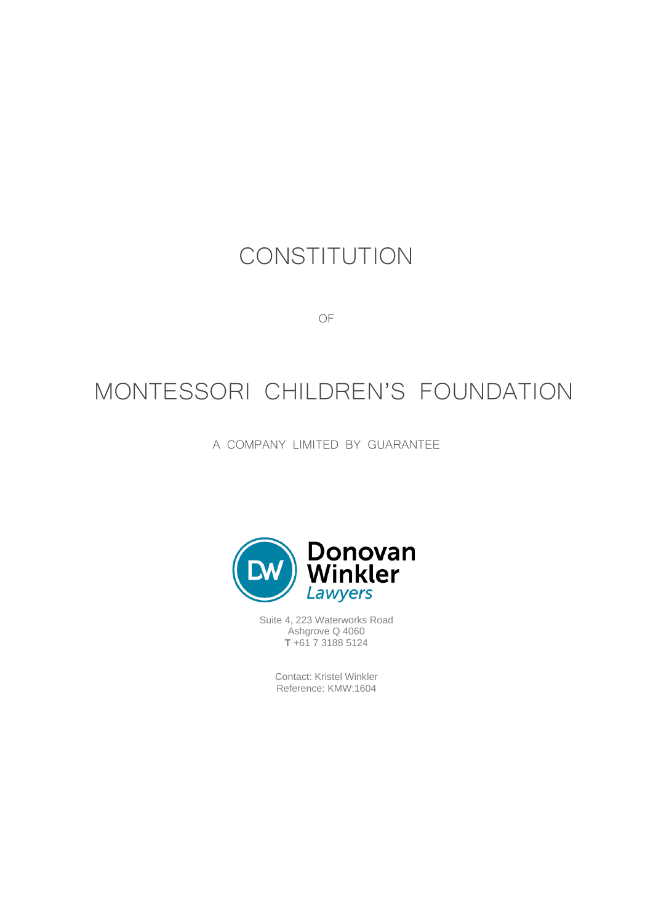# **CONSTITUTION**

OF

# MONTESSORI CHILDREN'S FOUNDATION

A COMPANY LIMITED BY GUARANTEE



Suite 4, 223 Waterworks Road Ashgrove Q 4060 **T** +61 7 3188 5124

> Contact: Kristel Winkler Reference: KMW:1604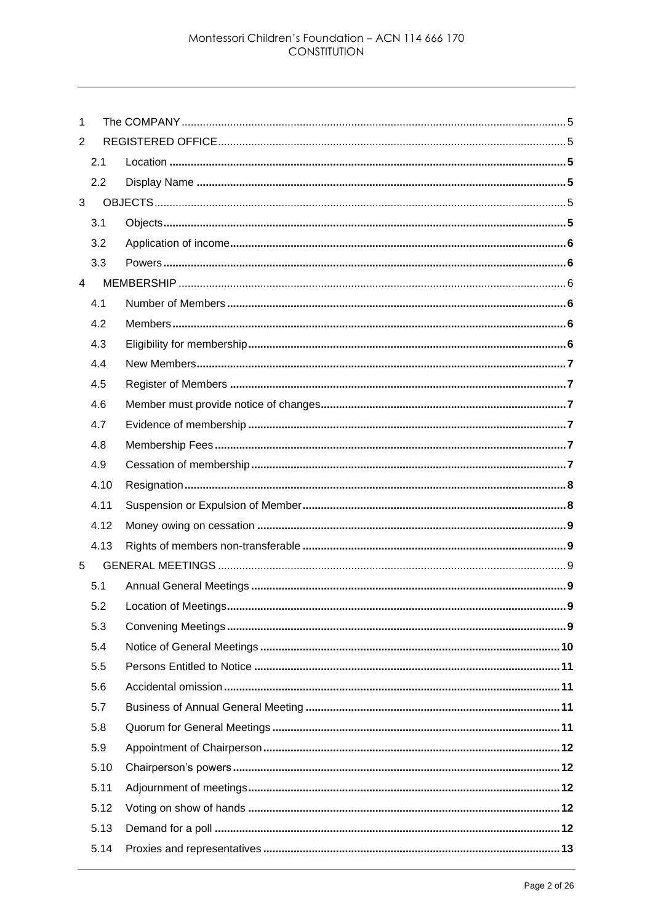| 1              |      |  |  |  |
|----------------|------|--|--|--|
| 2              |      |  |  |  |
|                | 2.1  |  |  |  |
|                | 2.2  |  |  |  |
| 3              |      |  |  |  |
|                | 3.1  |  |  |  |
|                | 3.2  |  |  |  |
|                | 3.3  |  |  |  |
| $\overline{4}$ |      |  |  |  |
|                | 4.1  |  |  |  |
|                | 4.2  |  |  |  |
|                | 4.3  |  |  |  |
|                | 4.4  |  |  |  |
|                | 4.5  |  |  |  |
|                | 4.6  |  |  |  |
|                | 4.7  |  |  |  |
|                | 4.8  |  |  |  |
|                | 4.9  |  |  |  |
|                | 4.10 |  |  |  |
|                | 4.11 |  |  |  |
|                | 4.12 |  |  |  |
|                | 4.13 |  |  |  |
| 5              |      |  |  |  |
|                | 5.1  |  |  |  |
|                | 5.2  |  |  |  |
|                | 5.3  |  |  |  |
|                | 5.4  |  |  |  |
|                | 5.5  |  |  |  |
|                | 5.6  |  |  |  |
|                | 5.7  |  |  |  |
|                | 5.8  |  |  |  |
|                | 5.9  |  |  |  |
|                | 5.10 |  |  |  |
|                | 5.11 |  |  |  |
|                | 5.12 |  |  |  |
|                | 5.13 |  |  |  |
|                | 5.14 |  |  |  |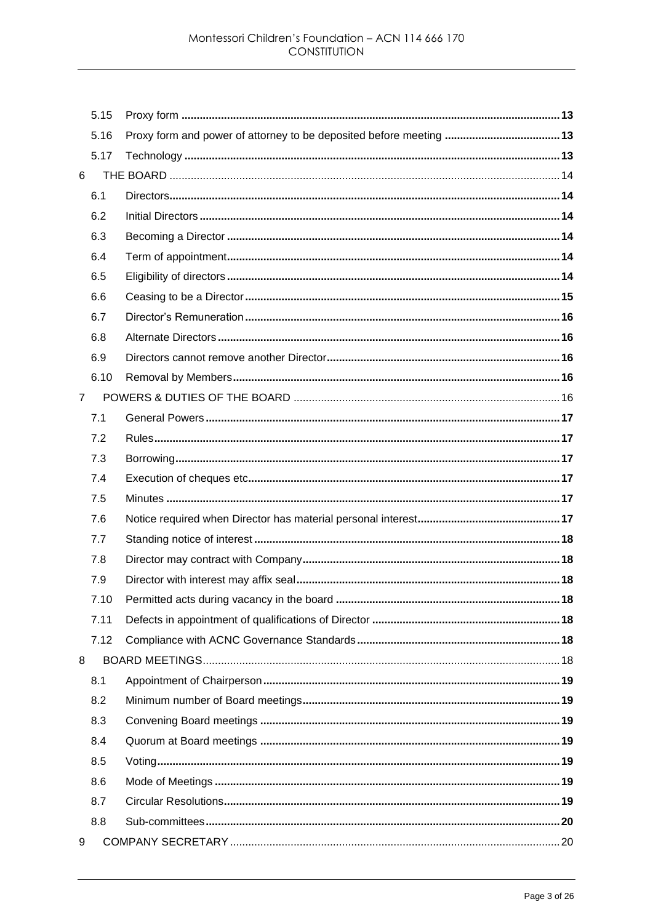|                | 5.15 |  |
|----------------|------|--|
|                | 5.16 |  |
|                | 5.17 |  |
| 6              |      |  |
|                | 6.1  |  |
|                | 6.2  |  |
|                | 6.3  |  |
|                | 6.4  |  |
|                | 6.5  |  |
|                | 6.6  |  |
|                | 6.7  |  |
|                | 6.8  |  |
|                | 6.9  |  |
|                | 6.10 |  |
| $\overline{7}$ |      |  |
|                | 7.1  |  |
|                | 7.2  |  |
|                | 7.3  |  |
|                | 7.4  |  |
|                | 7.5  |  |
|                | 7.6  |  |
|                | 7.7  |  |
|                | 7.8  |  |
|                | 7.9  |  |
|                | 7.10 |  |
|                | 7.11 |  |
|                | 7.12 |  |
| 8              |      |  |
|                | 8.1  |  |
|                | 8.2  |  |
|                | 8.3  |  |
|                | 8.4  |  |
|                | 8.5  |  |
|                | 8.6  |  |
|                | 8.7  |  |
|                | 8.8  |  |
| 9              |      |  |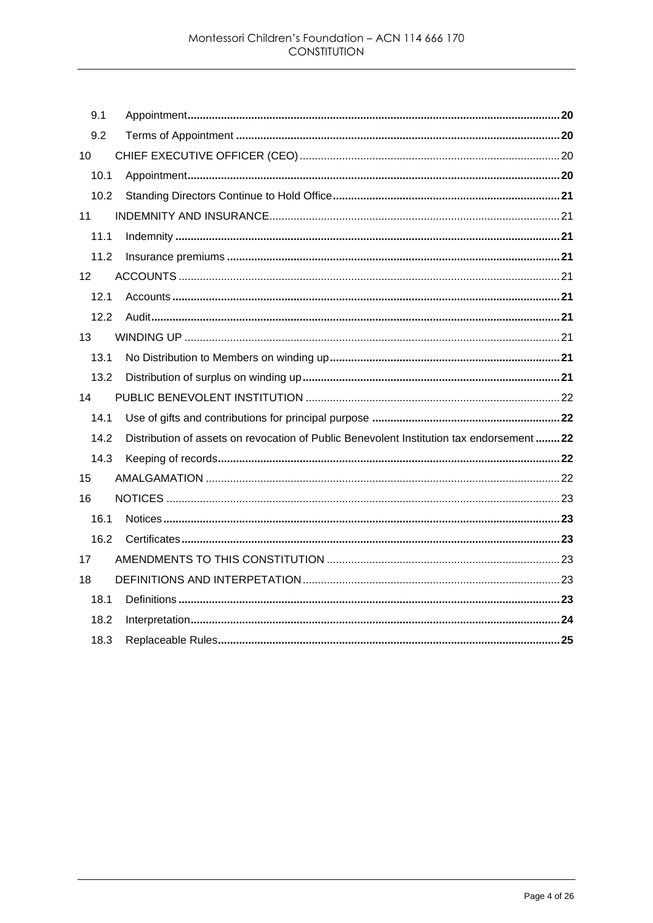| 9.1             |                                                                                          |  |
|-----------------|------------------------------------------------------------------------------------------|--|
| 9.2             |                                                                                          |  |
| 10              |                                                                                          |  |
| 10.1            |                                                                                          |  |
| 10.2            |                                                                                          |  |
| 11              |                                                                                          |  |
| 11.1            |                                                                                          |  |
| 11.2            |                                                                                          |  |
| 12 <sup>°</sup> |                                                                                          |  |
| 12.1            |                                                                                          |  |
| 12.2            |                                                                                          |  |
| 13              |                                                                                          |  |
| 13.1            |                                                                                          |  |
| 13.2            |                                                                                          |  |
| 14              |                                                                                          |  |
| 14.1            |                                                                                          |  |
| 14.2            | Distribution of assets on revocation of Public Benevolent Institution tax endorsement 22 |  |
| 14.3            |                                                                                          |  |
| 15              |                                                                                          |  |
| 16              |                                                                                          |  |
| 16.1            |                                                                                          |  |
| 16.2            |                                                                                          |  |
| 17              |                                                                                          |  |
| 18              |                                                                                          |  |
| 18.1            |                                                                                          |  |
| 18.2            |                                                                                          |  |
| 18.3            |                                                                                          |  |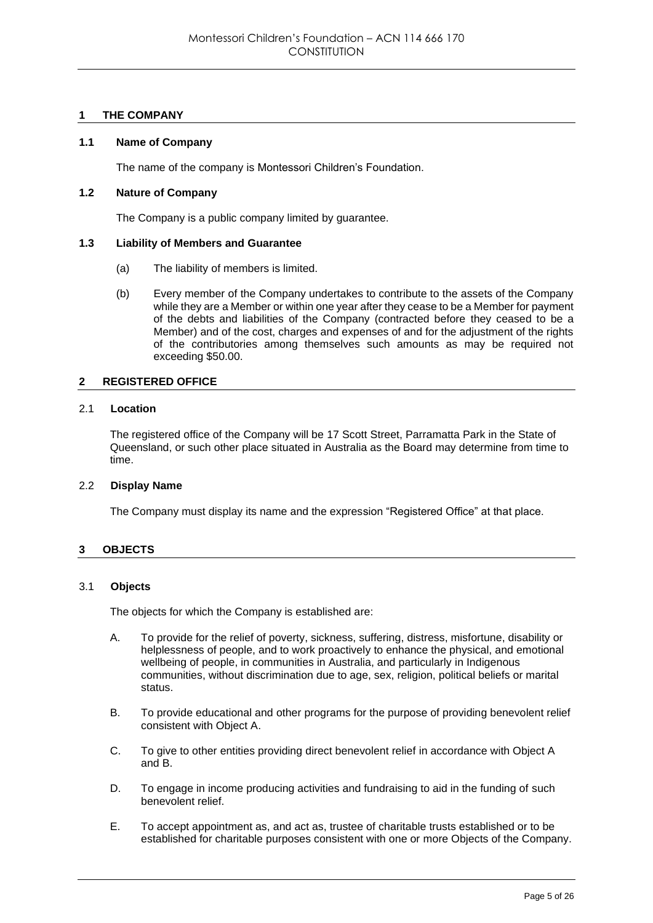# **1 THE COMPANY**

## **1.1 Name of Company**

The name of the company is Montessori Children's Foundation.

# **1.2 Nature of Company**

The Company is a public company limited by guarantee.

## **1.3 Liability of Members and Guarantee**

- (a) The liability of members is limited.
- (b) Every member of the Company undertakes to contribute to the assets of the Company while they are a Member or within one year after they cease to be a Member for payment of the debts and liabilities of the Company (contracted before they ceased to be a Member) and of the cost, charges and expenses of and for the adjustment of the rights of the contributories among themselves such amounts as may be required not exceeding \$50.00.

## **2 REGISTERED OFFICE**

## 2.1 **Location**

The registered office of the Company will be 17 Scott Street, Parramatta Park in the State of Queensland, or such other place situated in Australia as the Board may determine from time to time.

## 2.2 **Display Name**

The Company must display its name and the expression "Registered Office" at that place.

# **3 OBJECTS**

## 3.1 **Objects**

The objects for which the Company is established are:

- A. To provide for the relief of poverty, sickness, suffering, distress, misfortune, disability or helplessness of people, and to work proactively to enhance the physical, and emotional wellbeing of people, in communities in Australia, and particularly in Indigenous communities, without discrimination due to age, sex, religion, political beliefs or marital status.
- B. To provide educational and other programs for the purpose of providing benevolent relief consistent with Object A.
- C. To give to other entities providing direct benevolent relief in accordance with Object A and B.
- D. To engage in income producing activities and fundraising to aid in the funding of such benevolent relief.
- E. To accept appointment as, and act as, trustee of charitable trusts established or to be established for charitable purposes consistent with one or more Objects of the Company.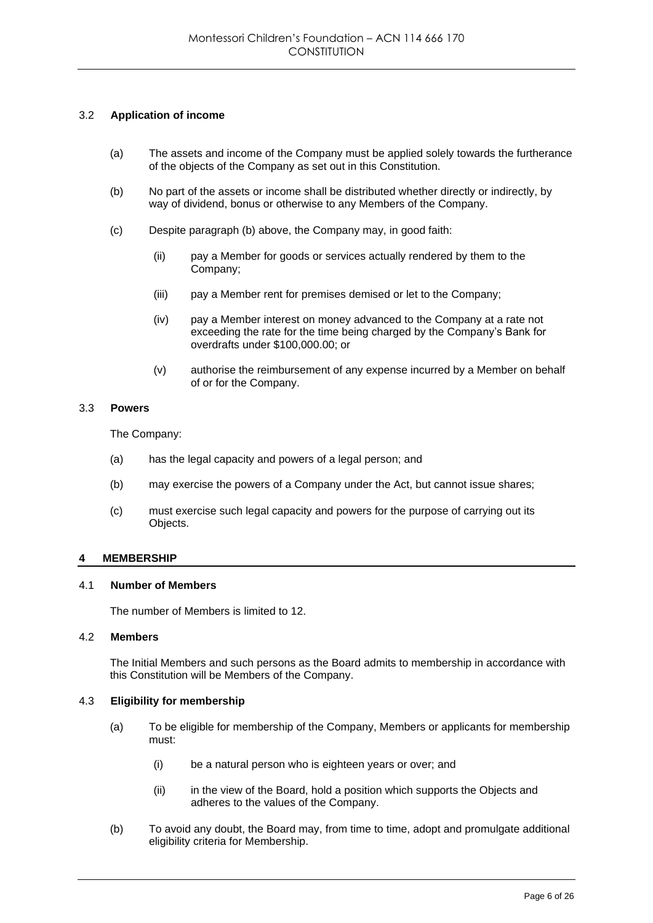# 3.2 **Application of income**

- (a) The assets and income of the Company must be applied solely towards the furtherance of the objects of the Company as set out in this Constitution.
- (b) No part of the assets or income shall be distributed whether directly or indirectly, by way of dividend, bonus or otherwise to any Members of the Company.
- (c) Despite paragraph (b) above, the Company may, in good faith:
	- (ii) pay a Member for goods or services actually rendered by them to the Company;
	- (iii) pay a Member rent for premises demised or let to the Company;
	- (iv) pay a Member interest on money advanced to the Company at a rate not exceeding the rate for the time being charged by the Company's Bank for overdrafts under \$100,000.00; or
	- (v) authorise the reimbursement of any expense incurred by a Member on behalf of or for the Company.

## 3.3 **Powers**

The Company:

- (a) has the legal capacity and powers of a legal person; and
- (b) may exercise the powers of a Company under the Act, but cannot issue shares;
- (c) must exercise such legal capacity and powers for the purpose of carrying out its Objects.

# **4 MEMBERSHIP**

# 4.1 **Number of Members**

The number of Members is limited to 12.

## 4.2 **Members**

The Initial Members and such persons as the Board admits to membership in accordance with this Constitution will be Members of the Company.

## 4.3 **Eligibility for membership**

- (a) To be eligible for membership of the Company, Members or applicants for membership must:
	- (i) be a natural person who is eighteen years or over; and
	- (ii) in the view of the Board, hold a position which supports the Objects and adheres to the values of the Company.
- (b) To avoid any doubt, the Board may, from time to time, adopt and promulgate additional eligibility criteria for Membership.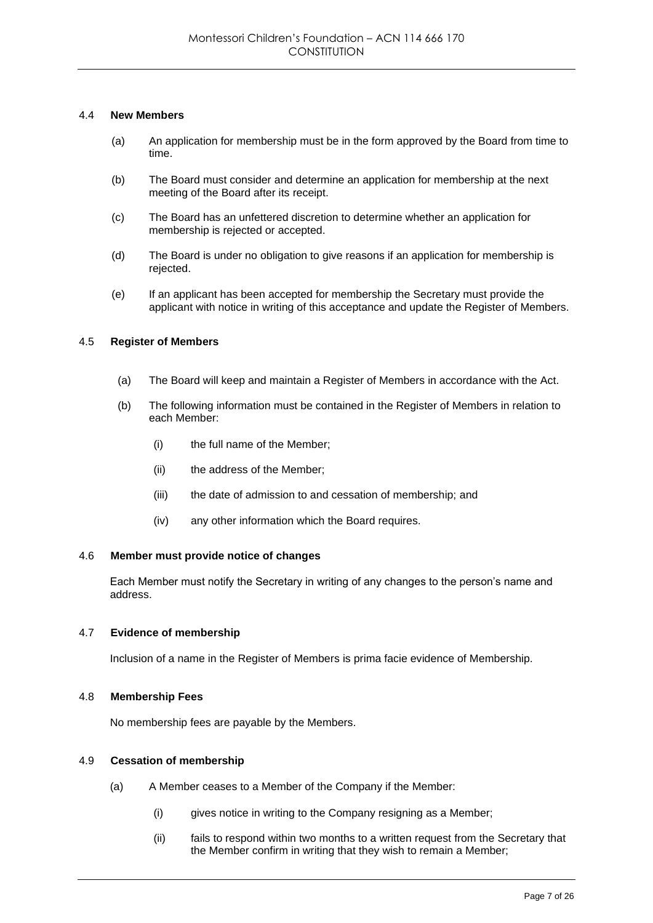## 4.4 **New Members**

- (a) An application for membership must be in the form approved by the Board from time to time.
- (b) The Board must consider and determine an application for membership at the next meeting of the Board after its receipt.
- (c) The Board has an unfettered discretion to determine whether an application for membership is rejected or accepted.
- (d) The Board is under no obligation to give reasons if an application for membership is rejected.
- (e) If an applicant has been accepted for membership the Secretary must provide the applicant with notice in writing of this acceptance and update the Register of Members.

## 4.5 **Register of Members**

- (a) The Board will keep and maintain a Register of Members in accordance with the Act.
- (b) The following information must be contained in the Register of Members in relation to each Member:
	- (i) the full name of the Member;
	- (ii) the address of the Member;
	- (iii) the date of admission to and cessation of membership; and
	- (iv) any other information which the Board requires.

## 4.6 **Member must provide notice of changes**

Each Member must notify the Secretary in writing of any changes to the person's name and address.

## 4.7 **Evidence of membership**

Inclusion of a name in the Register of Members is prima facie evidence of Membership.

## 4.8 **Membership Fees**

No membership fees are payable by the Members.

## 4.9 **Cessation of membership**

- (a) A Member ceases to a Member of the Company if the Member:
	- (i) gives notice in writing to the Company resigning as a Member;
	- (ii) fails to respond within two months to a written request from the Secretary that the Member confirm in writing that they wish to remain a Member;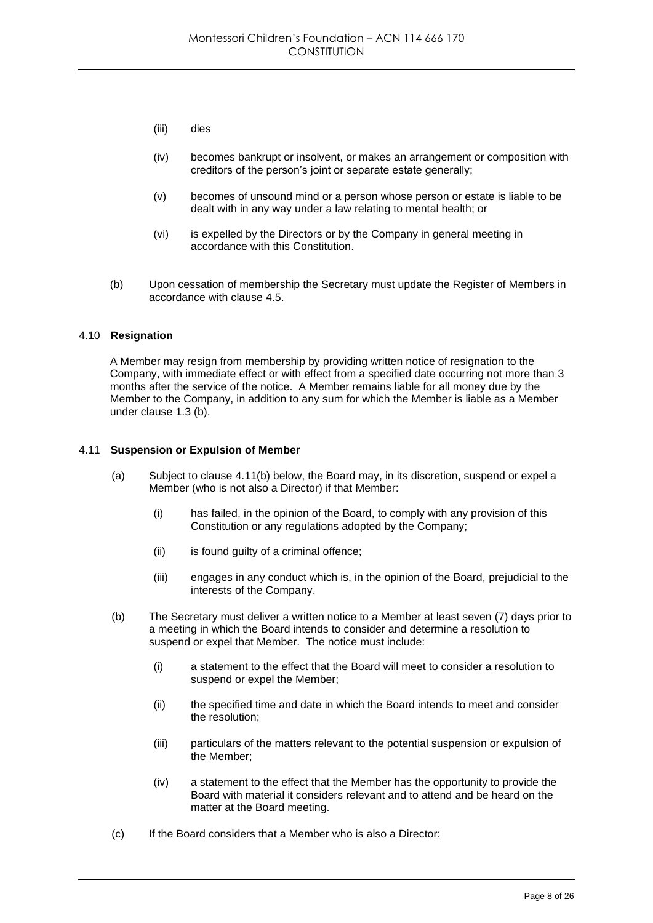- (iii) dies
- (iv) becomes bankrupt or insolvent, or makes an arrangement or composition with creditors of the person's joint or separate estate generally;
- (v) becomes of unsound mind or a person whose person or estate is liable to be dealt with in any way under a law relating to mental health; or
- (vi) is expelled by the Directors or by the Company in general meeting in accordance with this Constitution.
- (b) Upon cessation of membership the Secretary must update the Register of Members in accordance with clause 4.5.

## 4.10 **Resignation**

A Member may resign from membership by providing written notice of resignation to the Company, with immediate effect or with effect from a specified date occurring not more than 3 months after the service of the notice. A Member remains liable for all money due by the Member to the Company, in addition to any sum for which the Member is liable as a Member under clause 1.3 (b).

## 4.11 **Suspension or Expulsion of Member**

- (a) Subject to clause 4.11(b) below, the Board may, in its discretion, suspend or expel a Member (who is not also a Director) if that Member:
	- (i) has failed, in the opinion of the Board, to comply with any provision of this Constitution or any regulations adopted by the Company;
	- (ii) is found guilty of a criminal offence;
	- (iii) engages in any conduct which is, in the opinion of the Board, prejudicial to the interests of the Company.
- (b) The Secretary must deliver a written notice to a Member at least seven (7) days prior to a meeting in which the Board intends to consider and determine a resolution to suspend or expel that Member. The notice must include:
	- (i) a statement to the effect that the Board will meet to consider a resolution to suspend or expel the Member;
	- (ii) the specified time and date in which the Board intends to meet and consider the resolution;
	- (iii) particulars of the matters relevant to the potential suspension or expulsion of the Member;
	- (iv) a statement to the effect that the Member has the opportunity to provide the Board with material it considers relevant and to attend and be heard on the matter at the Board meeting.
- (c) If the Board considers that a Member who is also a Director: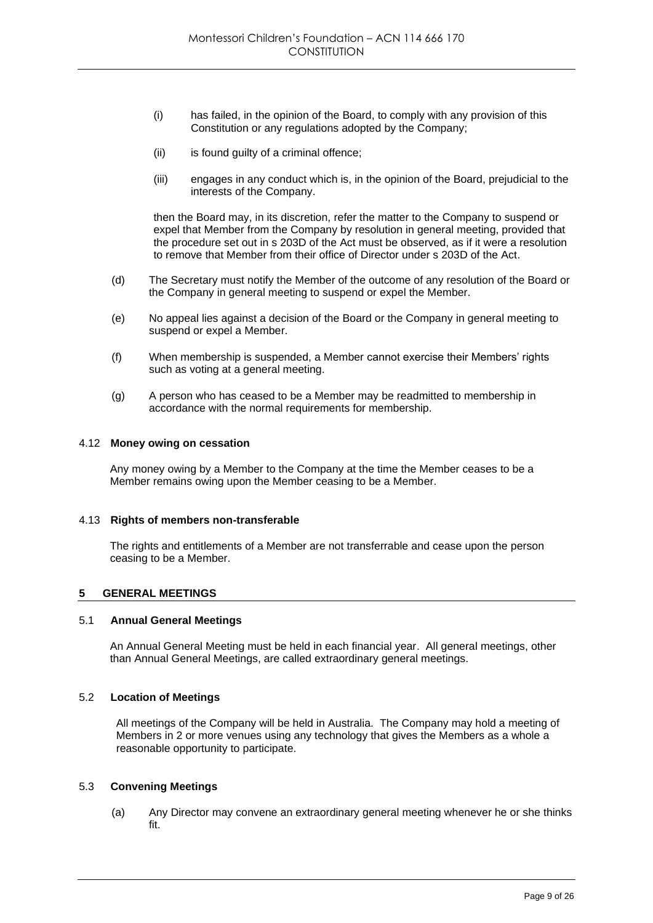- (i) has failed, in the opinion of the Board, to comply with any provision of this Constitution or any regulations adopted by the Company;
- (ii) is found quilty of a criminal offence;
- (iii) engages in any conduct which is, in the opinion of the Board, prejudicial to the interests of the Company.

then the Board may, in its discretion, refer the matter to the Company to suspend or expel that Member from the Company by resolution in general meeting, provided that the procedure set out in s 203D of the Act must be observed, as if it were a resolution to remove that Member from their office of Director under s 203D of the Act.

- (d) The Secretary must notify the Member of the outcome of any resolution of the Board or the Company in general meeting to suspend or expel the Member.
- (e) No appeal lies against a decision of the Board or the Company in general meeting to suspend or expel a Member.
- (f) When membership is suspended, a Member cannot exercise their Members' rights such as voting at a general meeting.
- (g) A person who has ceased to be a Member may be readmitted to membership in accordance with the normal requirements for membership.

## 4.12 **Money owing on cessation**

Any money owing by a Member to the Company at the time the Member ceases to be a Member remains owing upon the Member ceasing to be a Member.

## 4.13 **Rights of members non-transferable**

The rights and entitlements of a Member are not transferrable and cease upon the person ceasing to be a Member.

# **5 GENERAL MEETINGS**

## 5.1 **Annual General Meetings**

An Annual General Meeting must be held in each financial year. All general meetings, other than Annual General Meetings, are called extraordinary general meetings.

## 5.2 **Location of Meetings**

All meetings of the Company will be held in Australia. The Company may hold a meeting of Members in 2 or more venues using any technology that gives the Members as a whole a reasonable opportunity to participate.

# 5.3 **Convening Meetings**

(a) Any Director may convene an extraordinary general meeting whenever he or she thinks fit.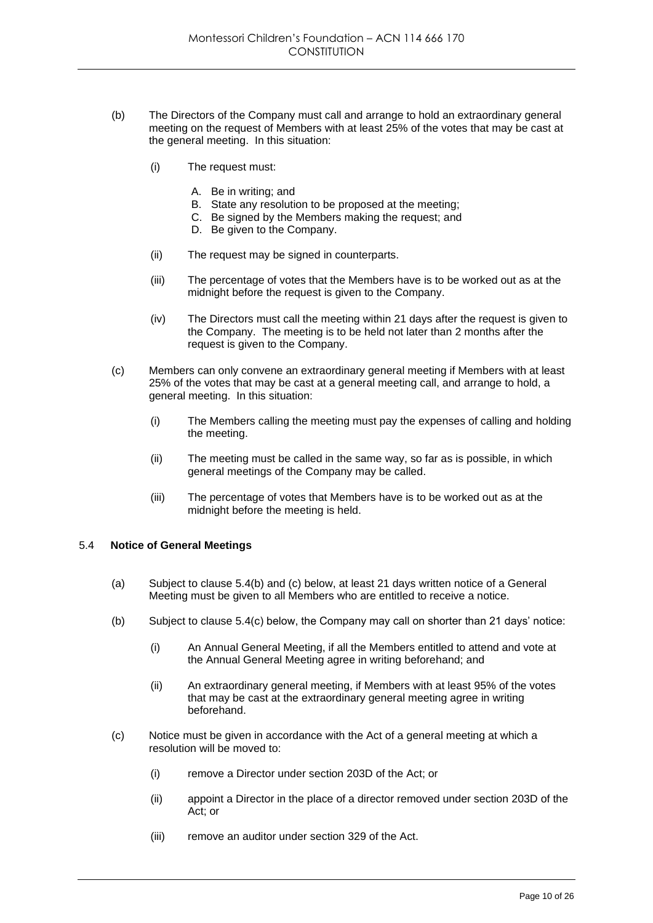- (b) The Directors of the Company must call and arrange to hold an extraordinary general meeting on the request of Members with at least 25% of the votes that may be cast at the general meeting. In this situation:
	- (i) The request must:
		- A. Be in writing; and
		- B. State any resolution to be proposed at the meeting;
		- C. Be signed by the Members making the request; and
		- D. Be given to the Company.
	- (ii) The request may be signed in counterparts.
	- (iii) The percentage of votes that the Members have is to be worked out as at the midnight before the request is given to the Company.
	- (iv) The Directors must call the meeting within 21 days after the request is given to the Company. The meeting is to be held not later than 2 months after the request is given to the Company.
- (c) Members can only convene an extraordinary general meeting if Members with at least 25% of the votes that may be cast at a general meeting call, and arrange to hold, a general meeting. In this situation:
	- (i) The Members calling the meeting must pay the expenses of calling and holding the meeting.
	- (ii) The meeting must be called in the same way, so far as is possible, in which general meetings of the Company may be called.
	- (iii) The percentage of votes that Members have is to be worked out as at the midnight before the meeting is held.

# 5.4 **Notice of General Meetings**

- (a) Subject to clause 5.4(b) and (c) below, at least 21 days written notice of a General Meeting must be given to all Members who are entitled to receive a notice.
- (b) Subject to clause 5.4(c) below, the Company may call on shorter than 21 days' notice:
	- (i) An Annual General Meeting, if all the Members entitled to attend and vote at the Annual General Meeting agree in writing beforehand; and
	- (ii) An extraordinary general meeting, if Members with at least 95% of the votes that may be cast at the extraordinary general meeting agree in writing beforehand.
- (c) Notice must be given in accordance with the Act of a general meeting at which a resolution will be moved to:
	- (i) remove a Director under section 203D of the Act; or
	- (ii) appoint a Director in the place of a director removed under section 203D of the Act; or
	- (iii) remove an auditor under section 329 of the Act.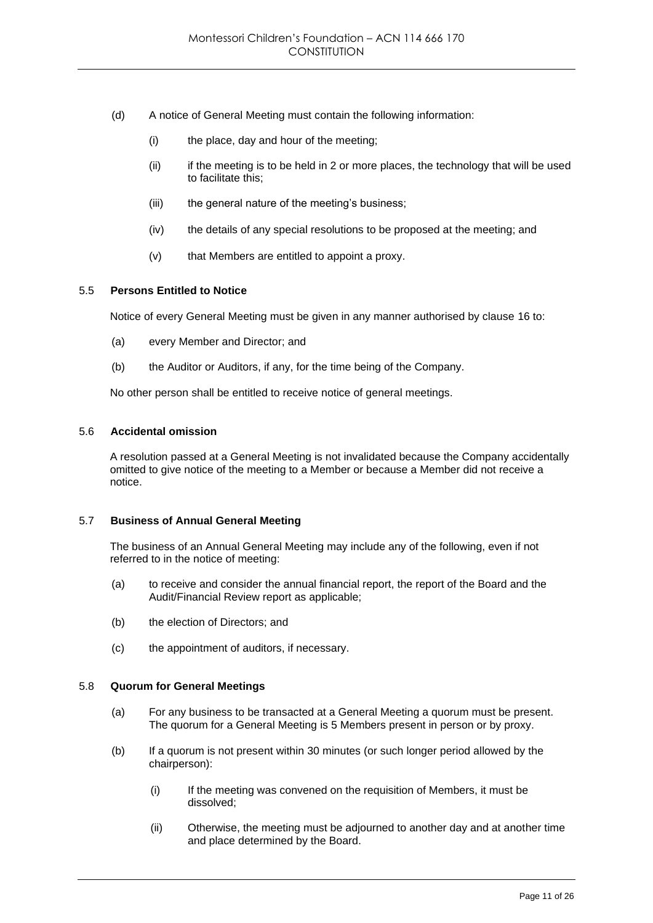- (d) A notice of General Meeting must contain the following information:
	- (i) the place, day and hour of the meeting;
	- $(iii)$  if the meeting is to be held in 2 or more places, the technology that will be used to facilitate this;
	- (iii) the general nature of the meeting's business;
	- (iv) the details of any special resolutions to be proposed at the meeting; and
	- (v) that Members are entitled to appoint a proxy.

## 5.5 **Persons Entitled to Notice**

Notice of every General Meeting must be given in any manner authorised by clause 16 to:

- (a) every Member and Director; and
- (b) the Auditor or Auditors, if any, for the time being of the Company.

No other person shall be entitled to receive notice of general meetings.

## 5.6 **Accidental omission**

A resolution passed at a General Meeting is not invalidated because the Company accidentally omitted to give notice of the meeting to a Member or because a Member did not receive a notice.

## 5.7 **Business of Annual General Meeting**

The business of an Annual General Meeting may include any of the following, even if not referred to in the notice of meeting:

- (a) to receive and consider the annual financial report, the report of the Board and the Audit/Financial Review report as applicable;
- (b) the election of Directors; and
- (c) the appointment of auditors, if necessary.

## 5.8 **Quorum for General Meetings**

- (a) For any business to be transacted at a General Meeting a quorum must be present. The quorum for a General Meeting is 5 Members present in person or by proxy.
- (b) If a quorum is not present within 30 minutes (or such longer period allowed by the chairperson):
	- (i) If the meeting was convened on the requisition of Members, it must be dissolved;
	- (ii) Otherwise, the meeting must be adjourned to another day and at another time and place determined by the Board.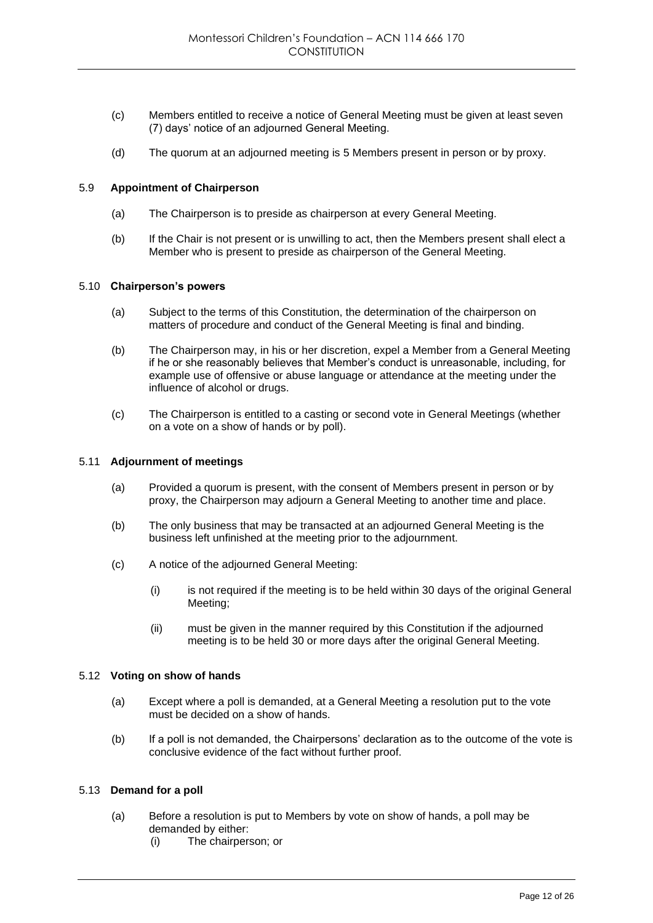- (c) Members entitled to receive a notice of General Meeting must be given at least seven (7) days' notice of an adjourned General Meeting.
- (d) The quorum at an adjourned meeting is 5 Members present in person or by proxy.

## 5.9 **Appointment of Chairperson**

- (a) The Chairperson is to preside as chairperson at every General Meeting.
- (b) If the Chair is not present or is unwilling to act, then the Members present shall elect a Member who is present to preside as chairperson of the General Meeting.

## 5.10 **Chairperson's powers**

- (a) Subject to the terms of this Constitution, the determination of the chairperson on matters of procedure and conduct of the General Meeting is final and binding.
- (b) The Chairperson may, in his or her discretion, expel a Member from a General Meeting if he or she reasonably believes that Member's conduct is unreasonable, including, for example use of offensive or abuse language or attendance at the meeting under the influence of alcohol or drugs.
- (c) The Chairperson is entitled to a casting or second vote in General Meetings (whether on a vote on a show of hands or by poll).

# 5.11 **Adjournment of meetings**

- (a) Provided a quorum is present, with the consent of Members present in person or by proxy, the Chairperson may adjourn a General Meeting to another time and place.
- (b) The only business that may be transacted at an adjourned General Meeting is the business left unfinished at the meeting prior to the adjournment.
- (c) A notice of the adjourned General Meeting:
	- (i) is not required if the meeting is to be held within 30 days of the original General Meeting;
	- (ii) must be given in the manner required by this Constitution if the adjourned meeting is to be held 30 or more days after the original General Meeting.

## 5.12 **Voting on show of hands**

- (a) Except where a poll is demanded, at a General Meeting a resolution put to the vote must be decided on a show of hands.
- (b) If a poll is not demanded, the Chairpersons' declaration as to the outcome of the vote is conclusive evidence of the fact without further proof.

## 5.13 **Demand for a poll**

- (a) Before a resolution is put to Members by vote on show of hands, a poll may be demanded by either:
	- (i) The chairperson; or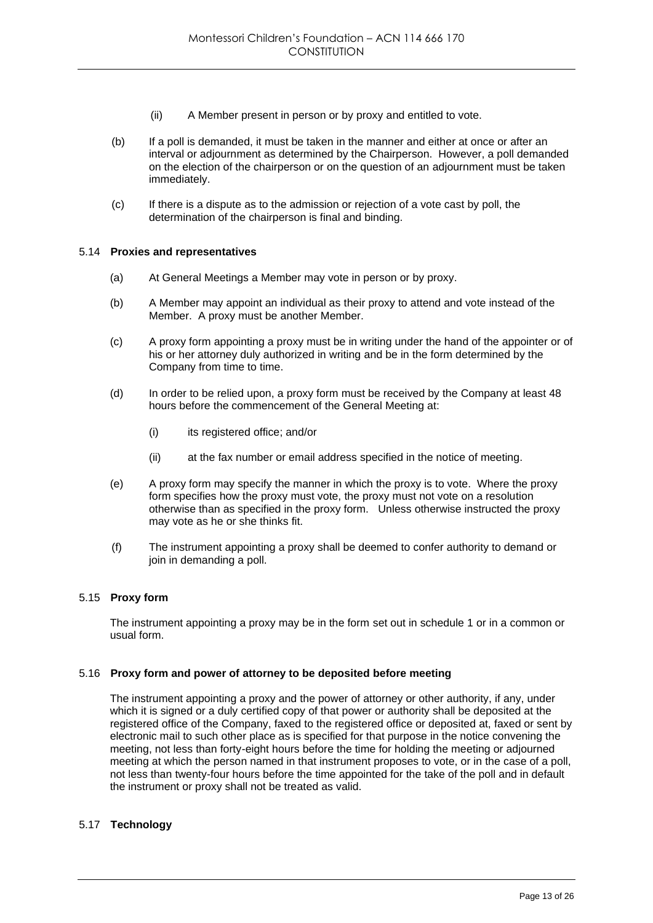- (ii) A Member present in person or by proxy and entitled to vote.
- (b) If a poll is demanded, it must be taken in the manner and either at once or after an interval or adjournment as determined by the Chairperson. However, a poll demanded on the election of the chairperson or on the question of an adjournment must be taken immediately.
- (c) If there is a dispute as to the admission or rejection of a vote cast by poll, the determination of the chairperson is final and binding.

## 5.14 **Proxies and representatives**

- (a) At General Meetings a Member may vote in person or by proxy.
- (b) A Member may appoint an individual as their proxy to attend and vote instead of the Member. A proxy must be another Member.
- (c) A proxy form appointing a proxy must be in writing under the hand of the appointer or of his or her attorney duly authorized in writing and be in the form determined by the Company from time to time.
- (d) In order to be relied upon, a proxy form must be received by the Company at least 48 hours before the commencement of the General Meeting at:
	- (i) its registered office: and/or
	- (ii) at the fax number or email address specified in the notice of meeting.
- (e) A proxy form may specify the manner in which the proxy is to vote. Where the proxy form specifies how the proxy must vote, the proxy must not vote on a resolution otherwise than as specified in the proxy form. Unless otherwise instructed the proxy may vote as he or she thinks fit.
- (f) The instrument appointing a proxy shall be deemed to confer authority to demand or join in demanding a poll.

# 5.15 **Proxy form**

The instrument appointing a proxy may be in the form set out in schedule 1 or in a common or usual form.

## 5.16 **Proxy form and power of attorney to be deposited before meeting**

The instrument appointing a proxy and the power of attorney or other authority, if any, under which it is signed or a duly certified copy of that power or authority shall be deposited at the registered office of the Company, faxed to the registered office or deposited at, faxed or sent by electronic mail to such other place as is specified for that purpose in the notice convening the meeting, not less than forty-eight hours before the time for holding the meeting or adjourned meeting at which the person named in that instrument proposes to vote, or in the case of a poll, not less than twenty-four hours before the time appointed for the take of the poll and in default the instrument or proxy shall not be treated as valid.

# 5.17 **Technology**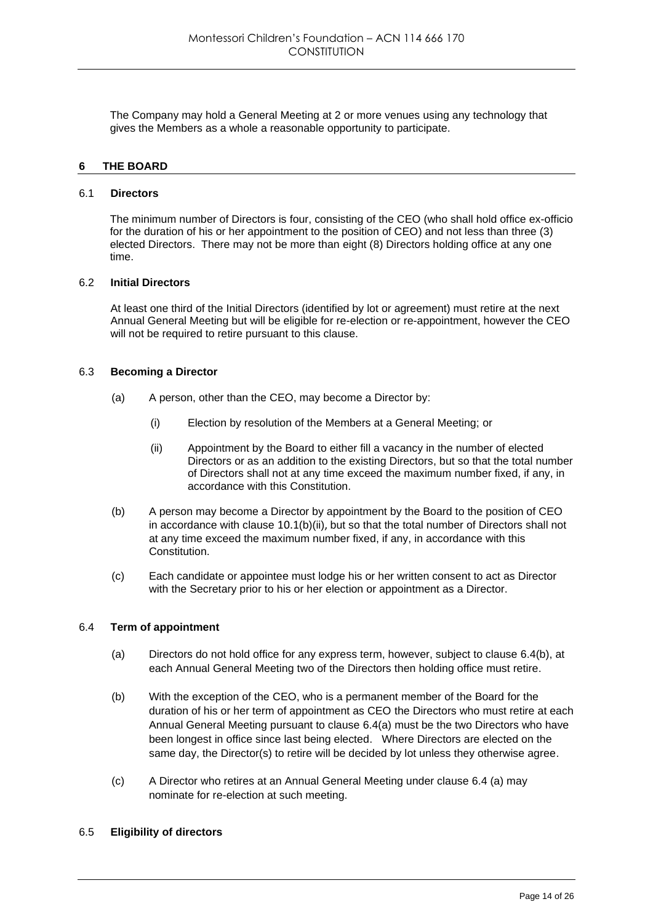The Company may hold a General Meeting at 2 or more venues using any technology that gives the Members as a whole a reasonable opportunity to participate.

# **6 THE BOARD**

#### 6.1 **Directors**

The minimum number of Directors is four, consisting of the CEO (who shall hold office ex-officio for the duration of his or her appointment to the position of CEO) and not less than three (3) elected Directors. There may not be more than eight (8) Directors holding office at any one time.

## 6.2 **Initial Directors**

At least one third of the Initial Directors (identified by lot or agreement) must retire at the next Annual General Meeting but will be eligible for re-election or re-appointment, however the CEO will not be required to retire pursuant to this clause.

## 6.3 **Becoming a Director**

- (a) A person, other than the CEO, may become a Director by:
	- (i) Election by resolution of the Members at a General Meeting; or
	- (ii) Appointment by the Board to either fill a vacancy in the number of elected Directors or as an addition to the existing Directors, but so that the total number of Directors shall not at any time exceed the maximum number fixed, if any, in accordance with this Constitution.
- (b) A person may become a Director by appointment by the Board to the position of CEO in accordance with clause 10.1(b)(ii), but so that the total number of Directors shall not at any time exceed the maximum number fixed, if any, in accordance with this Constitution.
- (c) Each candidate or appointee must lodge his or her written consent to act as Director with the Secretary prior to his or her election or appointment as a Director.

## 6.4 **Term of appointment**

- (a) Directors do not hold office for any express term, however, subject to clause 6.4(b), at each Annual General Meeting two of the Directors then holding office must retire.
- (b) With the exception of the CEO, who is a permanent member of the Board for the duration of his or her term of appointment as CEO the Directors who must retire at each Annual General Meeting pursuant to clause 6.4(a) must be the two Directors who have been longest in office since last being elected. Where Directors are elected on the same day, the Director(s) to retire will be decided by lot unless they otherwise agree.
- (c) A Director who retires at an Annual General Meeting under clause 6.4 (a) may nominate for re-election at such meeting.
- 6.5 **Eligibility of directors**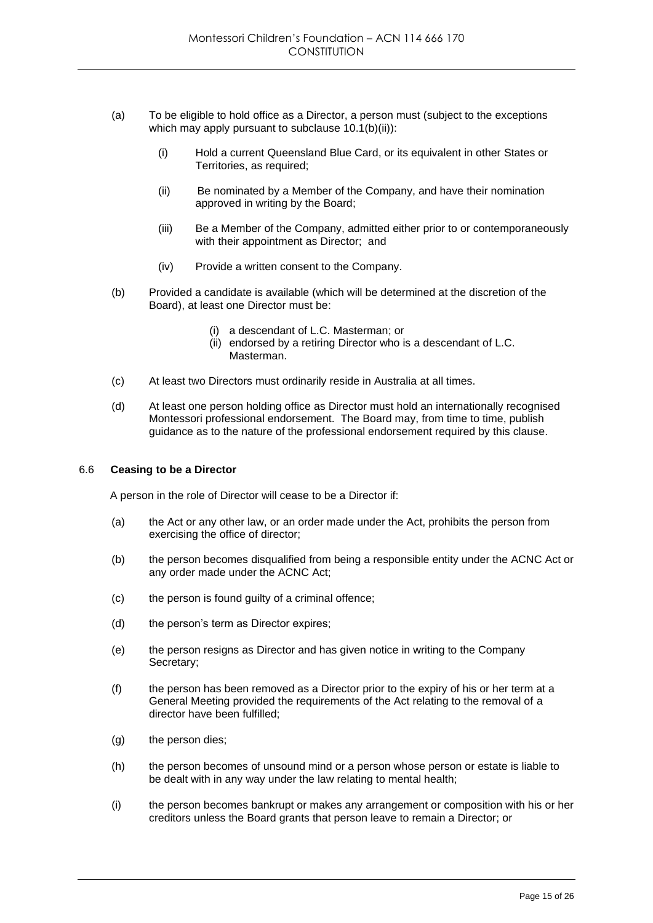- (a) To be eligible to hold office as a Director, a person must (subject to the exceptions which may apply pursuant to subclause  $10.1(b)(ii)$ :
	- (i) Hold a current Queensland Blue Card, or its equivalent in other States or Territories, as required;
	- (ii) Be nominated by a Member of the Company, and have their nomination approved in writing by the Board;
	- (iii) Be a Member of the Company, admitted either prior to or contemporaneously with their appointment as Director; and
	- (iv) Provide a written consent to the Company.
- (b) Provided a candidate is available (which will be determined at the discretion of the Board), at least one Director must be:
	- (i) a descendant of L.C. Masterman; or
	- (ii) endorsed by a retiring Director who is a descendant of L.C. Masterman.
- (c) At least two Directors must ordinarily reside in Australia at all times.
- (d) At least one person holding office as Director must hold an internationally recognised Montessori professional endorsement. The Board may, from time to time, publish guidance as to the nature of the professional endorsement required by this clause.

## 6.6 **Ceasing to be a Director**

A person in the role of Director will cease to be a Director if:

- (a) the Act or any other law, or an order made under the Act, prohibits the person from exercising the office of director;
- (b) the person becomes disqualified from being a responsible entity under the ACNC Act or any order made under the ACNC Act;
- (c) the person is found guilty of a criminal offence;
- (d) the person's term as Director expires;
- (e) the person resigns as Director and has given notice in writing to the Company Secretary;
- (f) the person has been removed as a Director prior to the expiry of his or her term at a General Meeting provided the requirements of the Act relating to the removal of a director have been fulfilled;
- (g) the person dies;
- (h) the person becomes of unsound mind or a person whose person or estate is liable to be dealt with in any way under the law relating to mental health;
- (i) the person becomes bankrupt or makes any arrangement or composition with his or her creditors unless the Board grants that person leave to remain a Director; or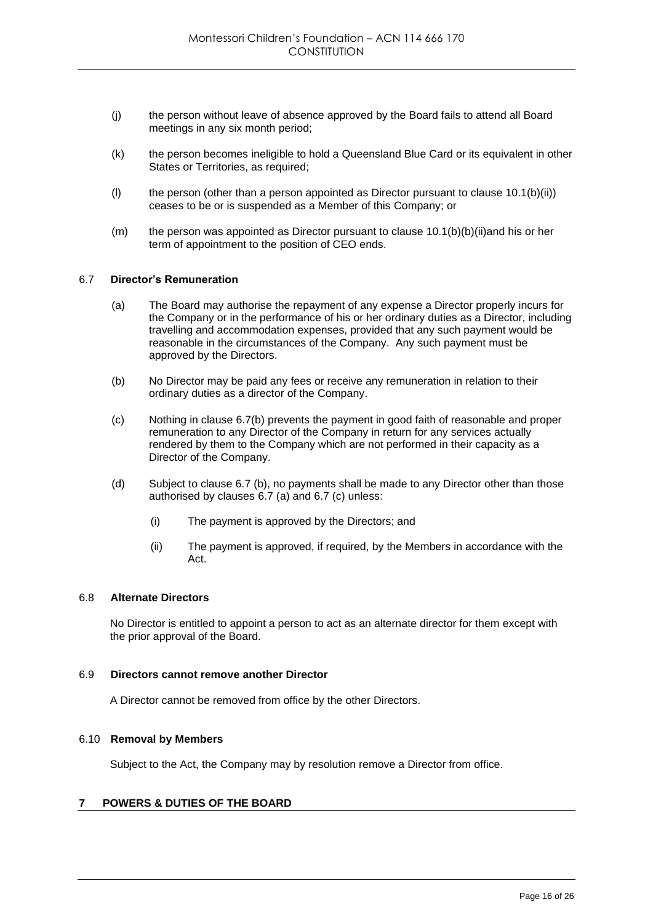- (j) the person without leave of absence approved by the Board fails to attend all Board meetings in any six month period;
- (k) the person becomes ineligible to hold a Queensland Blue Card or its equivalent in other States or Territories, as required;
- (I) the person (other than a person appointed as Director pursuant to clause  $10.1(b)(ii)$ ) ceases to be or is suspended as a Member of this Company; or
- (m) the person was appointed as Director pursuant to clause  $10.1(b)(b)(ii)$  and his or her term of appointment to the position of CEO ends.

## 6.7 **Director's Remuneration**

- (a) The Board may authorise the repayment of any expense a Director properly incurs for the Company or in the performance of his or her ordinary duties as a Director, including travelling and accommodation expenses, provided that any such payment would be reasonable in the circumstances of the Company. Any such payment must be approved by the Directors.
- (b) No Director may be paid any fees or receive any remuneration in relation to their ordinary duties as a director of the Company.
- (c) Nothing in clause 6.7(b) prevents the payment in good faith of reasonable and proper remuneration to any Director of the Company in return for any services actually rendered by them to the Company which are not performed in their capacity as a Director of the Company.
- (d) Subject to clause 6.7 (b), no payments shall be made to any Director other than those authorised by clauses 6.7 (a) and 6.7 (c) unless:
	- (i) The payment is approved by the Directors; and
	- (ii) The payment is approved, if required, by the Members in accordance with the Act.

# 6.8 **Alternate Directors**

No Director is entitled to appoint a person to act as an alternate director for them except with the prior approval of the Board.

## 6.9 **Directors cannot remove another Director**

A Director cannot be removed from office by the other Directors.

## 6.10 **Removal by Members**

Subject to the Act, the Company may by resolution remove a Director from office.

# **7 POWERS & DUTIES OF THE BOARD**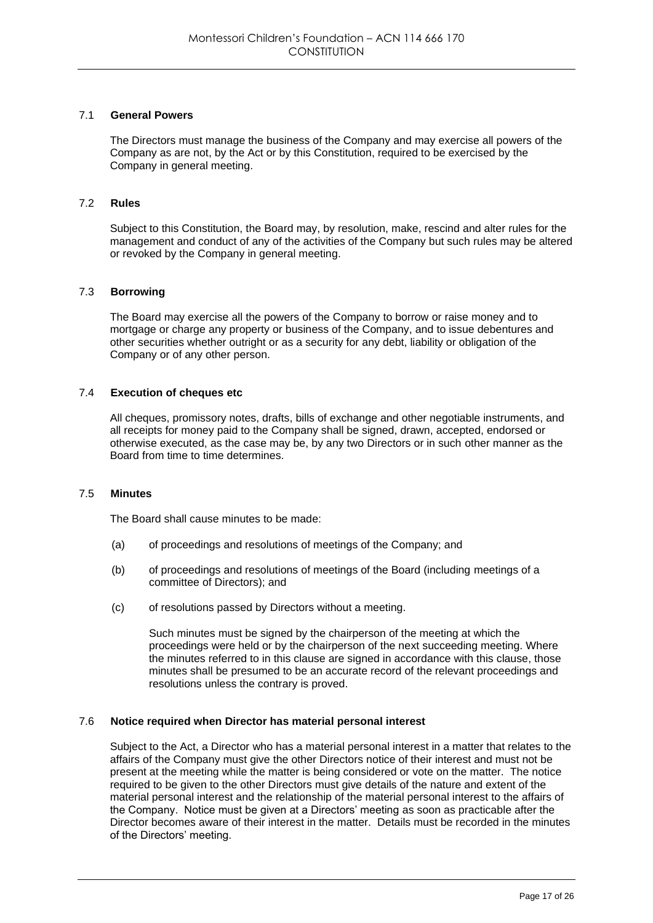# 7.1 **General Powers**

The Directors must manage the business of the Company and may exercise all powers of the Company as are not, by the Act or by this Constitution, required to be exercised by the Company in general meeting.

## 7.2 **Rules**

Subject to this Constitution, the Board may, by resolution, make, rescind and alter rules for the management and conduct of any of the activities of the Company but such rules may be altered or revoked by the Company in general meeting.

## 7.3 **Borrowing**

The Board may exercise all the powers of the Company to borrow or raise money and to mortgage or charge any property or business of the Company, and to issue debentures and other securities whether outright or as a security for any debt, liability or obligation of the Company or of any other person.

# 7.4 **Execution of cheques etc**

All cheques, promissory notes, drafts, bills of exchange and other negotiable instruments, and all receipts for money paid to the Company shall be signed, drawn, accepted, endorsed or otherwise executed, as the case may be, by any two Directors or in such other manner as the Board from time to time determines.

## 7.5 **Minutes**

The Board shall cause minutes to be made:

- (a) of proceedings and resolutions of meetings of the Company; and
- (b) of proceedings and resolutions of meetings of the Board (including meetings of a committee of Directors); and
- (c) of resolutions passed by Directors without a meeting.

Such minutes must be signed by the chairperson of the meeting at which the proceedings were held or by the chairperson of the next succeeding meeting. Where the minutes referred to in this clause are signed in accordance with this clause, those minutes shall be presumed to be an accurate record of the relevant proceedings and resolutions unless the contrary is proved.

## 7.6 **Notice required when Director has material personal interest**

Subject to the Act, a Director who has a material personal interest in a matter that relates to the affairs of the Company must give the other Directors notice of their interest and must not be present at the meeting while the matter is being considered or vote on the matter. The notice required to be given to the other Directors must give details of the nature and extent of the material personal interest and the relationship of the material personal interest to the affairs of the Company. Notice must be given at a Directors' meeting as soon as practicable after the Director becomes aware of their interest in the matter. Details must be recorded in the minutes of the Directors' meeting.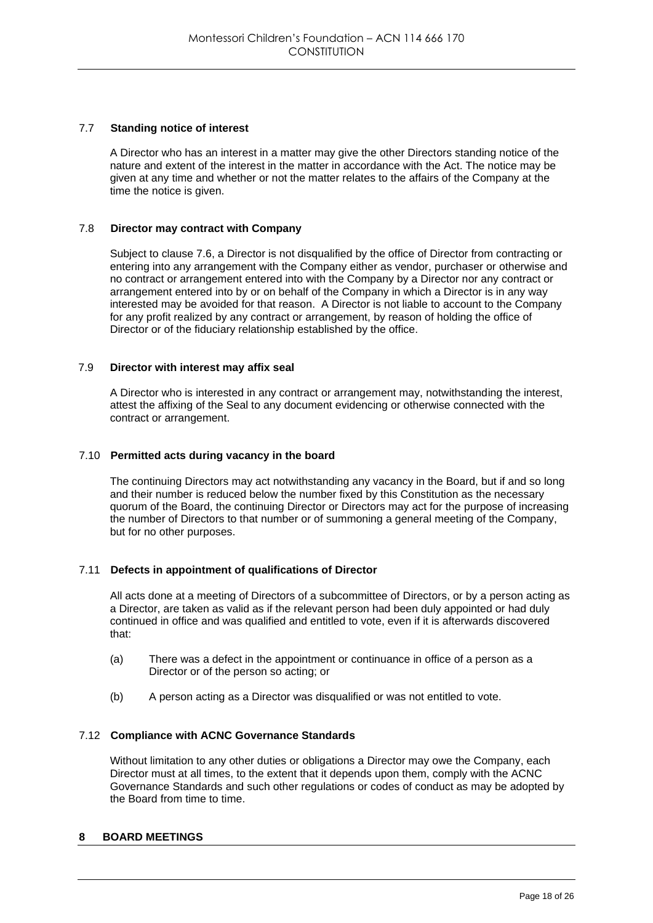# 7.7 **Standing notice of interest**

A Director who has an interest in a matter may give the other Directors standing notice of the nature and extent of the interest in the matter in accordance with the Act. The notice may be given at any time and whether or not the matter relates to the affairs of the Company at the time the notice is given.

## 7.8 **Director may contract with Company**

Subject to clause 7.6, a Director is not disqualified by the office of Director from contracting or entering into any arrangement with the Company either as vendor, purchaser or otherwise and no contract or arrangement entered into with the Company by a Director nor any contract or arrangement entered into by or on behalf of the Company in which a Director is in any way interested may be avoided for that reason. A Director is not liable to account to the Company for any profit realized by any contract or arrangement, by reason of holding the office of Director or of the fiduciary relationship established by the office.

## 7.9 **Director with interest may affix seal**

A Director who is interested in any contract or arrangement may, notwithstanding the interest, attest the affixing of the Seal to any document evidencing or otherwise connected with the contract or arrangement.

## 7.10 **Permitted acts during vacancy in the board**

The continuing Directors may act notwithstanding any vacancy in the Board, but if and so long and their number is reduced below the number fixed by this Constitution as the necessary quorum of the Board, the continuing Director or Directors may act for the purpose of increasing the number of Directors to that number or of summoning a general meeting of the Company, but for no other purposes.

# 7.11 **Defects in appointment of qualifications of Director**

All acts done at a meeting of Directors of a subcommittee of Directors, or by a person acting as a Director, are taken as valid as if the relevant person had been duly appointed or had duly continued in office and was qualified and entitled to vote, even if it is afterwards discovered that:

- (a) There was a defect in the appointment or continuance in office of a person as a Director or of the person so acting; or
- (b) A person acting as a Director was disqualified or was not entitled to vote.

## 7.12 **Compliance with ACNC Governance Standards**

Without limitation to any other duties or obligations a Director may owe the Company, each Director must at all times, to the extent that it depends upon them, comply with the ACNC Governance Standards and such other regulations or codes of conduct as may be adopted by the Board from time to time.

## **8 BOARD MEETINGS**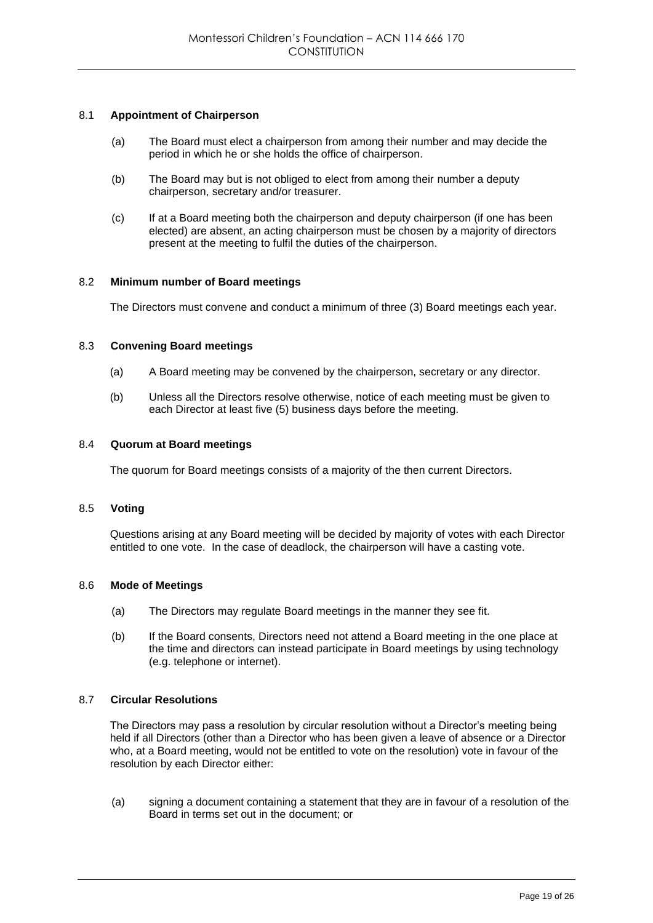## 8.1 **Appointment of Chairperson**

- (a) The Board must elect a chairperson from among their number and may decide the period in which he or she holds the office of chairperson.
- (b) The Board may but is not obliged to elect from among their number a deputy chairperson, secretary and/or treasurer.
- (c) If at a Board meeting both the chairperson and deputy chairperson (if one has been elected) are absent, an acting chairperson must be chosen by a majority of directors present at the meeting to fulfil the duties of the chairperson.

## 8.2 **Minimum number of Board meetings**

The Directors must convene and conduct a minimum of three (3) Board meetings each year.

## 8.3 **Convening Board meetings**

- (a) A Board meeting may be convened by the chairperson, secretary or any director.
- (b) Unless all the Directors resolve otherwise, notice of each meeting must be given to each Director at least five (5) business days before the meeting.

## 8.4 **Quorum at Board meetings**

The quorum for Board meetings consists of a majority of the then current Directors.

## 8.5 **Voting**

Questions arising at any Board meeting will be decided by majority of votes with each Director entitled to one vote. In the case of deadlock, the chairperson will have a casting vote.

# 8.6 **Mode of Meetings**

- (a) The Directors may regulate Board meetings in the manner they see fit.
- (b) If the Board consents, Directors need not attend a Board meeting in the one place at the time and directors can instead participate in Board meetings by using technology (e.g. telephone or internet).

# 8.7 **Circular Resolutions**

The Directors may pass a resolution by circular resolution without a Director's meeting being held if all Directors (other than a Director who has been given a leave of absence or a Director who, at a Board meeting, would not be entitled to vote on the resolution) vote in favour of the resolution by each Director either:

(a) signing a document containing a statement that they are in favour of a resolution of the Board in terms set out in the document; or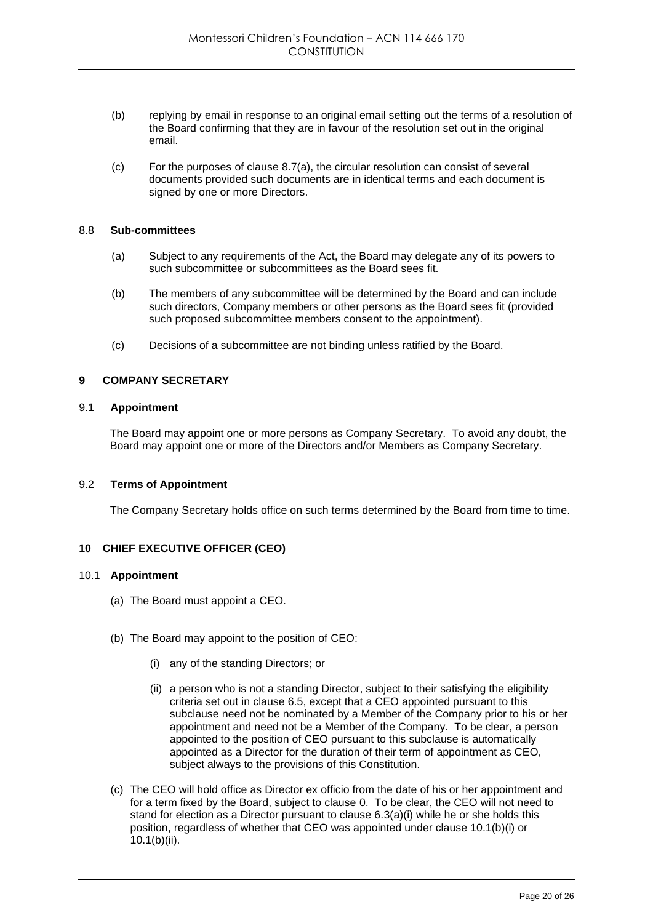- (b) replying by email in response to an original email setting out the terms of a resolution of the Board confirming that they are in favour of the resolution set out in the original email.
- (c) For the purposes of clause 8.7(a), the circular resolution can consist of several documents provided such documents are in identical terms and each document is signed by one or more Directors.

#### 8.8 **Sub-committees**

- (a) Subject to any requirements of the Act, the Board may delegate any of its powers to such subcommittee or subcommittees as the Board sees fit.
- (b) The members of any subcommittee will be determined by the Board and can include such directors, Company members or other persons as the Board sees fit (provided such proposed subcommittee members consent to the appointment).
- (c) Decisions of a subcommittee are not binding unless ratified by the Board.

# **9 COMPANY SECRETARY**

# 9.1 **Appointment**

The Board may appoint one or more persons as Company Secretary. To avoid any doubt, the Board may appoint one or more of the Directors and/or Members as Company Secretary.

## 9.2 **Terms of Appointment**

The Company Secretary holds office on such terms determined by the Board from time to time.

## **10 CHIEF EXECUTIVE OFFICER (CEO)**

#### 10.1 **Appointment**

- (a) The Board must appoint a CEO.
- (b) The Board may appoint to the position of CEO:
	- (i) any of the standing Directors; or
	- (ii) a person who is not a standing Director, subject to their satisfying the eligibility criteria set out in clause 6.5, except that a CEO appointed pursuant to this subclause need not be nominated by a Member of the Company prior to his or her appointment and need not be a Member of the Company. To be clear, a person appointed to the position of CEO pursuant to this subclause is automatically appointed as a Director for the duration of their term of appointment as CEO, subject always to the provisions of this Constitution.
- (c) The CEO will hold office as Director ex officio from the date of his or her appointment and for a term fixed by the Board, subject to clause 0. To be clear, the CEO will not need to stand for election as a Director pursuant to clause  $6.3(a)(i)$  while he or she holds this position, regardless of whether that CEO was appointed under clause 10.1(b)(i) or 10.1(b)(ii).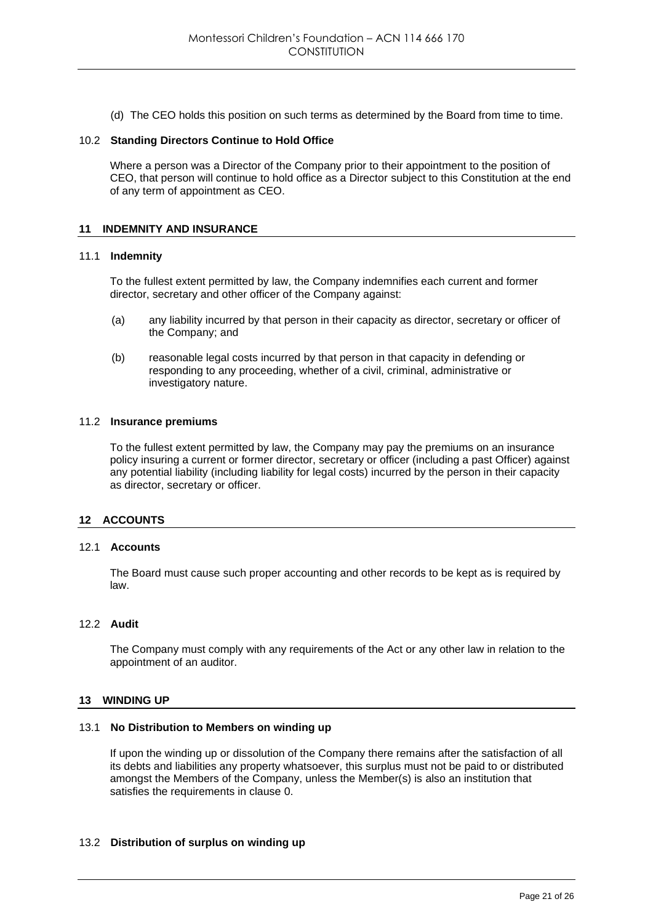(d) The CEO holds this position on such terms as determined by the Board from time to time.

#### 10.2 **Standing Directors Continue to Hold Office**

Where a person was a Director of the Company prior to their appointment to the position of CEO, that person will continue to hold office as a Director subject to this Constitution at the end of any term of appointment as CEO.

# **11 INDEMNITY AND INSURANCE**

#### 11.1 **Indemnity**

To the fullest extent permitted by law, the Company indemnifies each current and former director, secretary and other officer of the Company against:

- (a) any liability incurred by that person in their capacity as director, secretary or officer of the Company; and
- (b) reasonable legal costs incurred by that person in that capacity in defending or responding to any proceeding, whether of a civil, criminal, administrative or investigatory nature.

#### 11.2 **Insurance premiums**

To the fullest extent permitted by law, the Company may pay the premiums on an insurance policy insuring a current or former director, secretary or officer (including a past Officer) against any potential liability (including liability for legal costs) incurred by the person in their capacity as director, secretary or officer.

## **12 ACCOUNTS**

## 12.1 **Accounts**

The Board must cause such proper accounting and other records to be kept as is required by law.

#### 12.2 **Audit**

The Company must comply with any requirements of the Act or any other law in relation to the appointment of an auditor.

## **13 WINDING UP**

## 13.1 **No Distribution to Members on winding up**

If upon the winding up or dissolution of the Company there remains after the satisfaction of all its debts and liabilities any property whatsoever, this surplus must not be paid to or distributed amongst the Members of the Company, unless the Member(s) is also an institution that satisfies the requirements in clause 0.

## 13.2 **Distribution of surplus on winding up**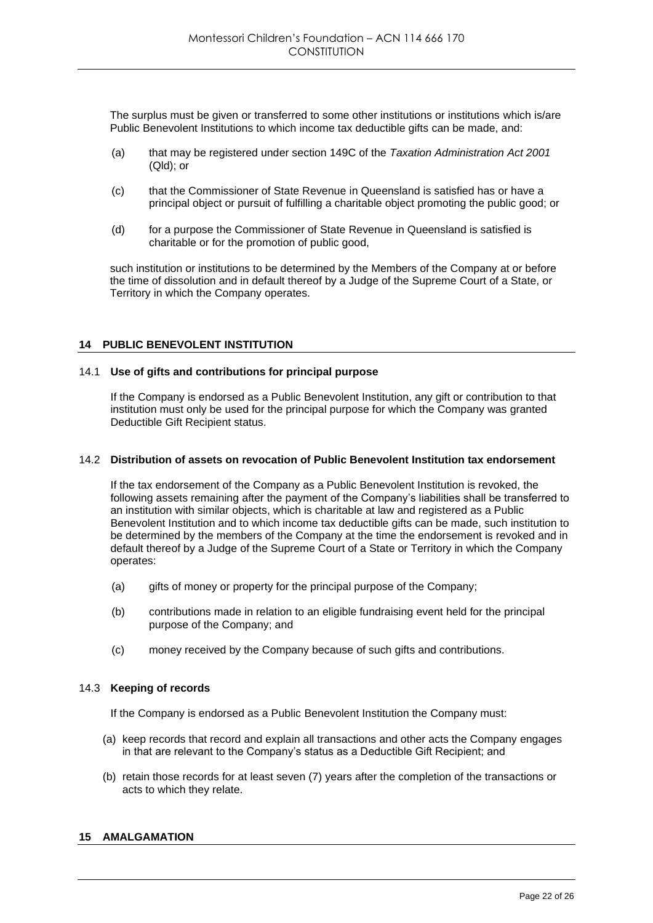The surplus must be given or transferred to some other institutions or institutions which is/are Public Benevolent Institutions to which income tax deductible gifts can be made, and:

- (a) that may be registered under section 149C of the *Taxation Administration Act 2001*  (Qld); or
- (c) that the Commissioner of State Revenue in Queensland is satisfied has or have a principal object or pursuit of fulfilling a charitable object promoting the public good; or
- (d) for a purpose the Commissioner of State Revenue in Queensland is satisfied is charitable or for the promotion of public good,

such institution or institutions to be determined by the Members of the Company at or before the time of dissolution and in default thereof by a Judge of the Supreme Court of a State, or Territory in which the Company operates.

# **14 PUBLIC BENEVOLENT INSTITUTION**

## 14.1 **Use of gifts and contributions for principal purpose**

If the Company is endorsed as a Public Benevolent Institution, any gift or contribution to that institution must only be used for the principal purpose for which the Company was granted Deductible Gift Recipient status.

## 14.2 **Distribution of assets on revocation of Public Benevolent Institution tax endorsement**

If the tax endorsement of the Company as a Public Benevolent Institution is revoked, the following assets remaining after the payment of the Company's liabilities shall be transferred to an institution with similar objects, which is charitable at law and registered as a Public Benevolent Institution and to which income tax deductible gifts can be made, such institution to be determined by the members of the Company at the time the endorsement is revoked and in default thereof by a Judge of the Supreme Court of a State or Territory in which the Company operates:

- (a) gifts of money or property for the principal purpose of the Company;
- (b) contributions made in relation to an eligible fundraising event held for the principal purpose of the Company; and
- (c) money received by the Company because of such gifts and contributions.

# 14.3 **Keeping of records**

If the Company is endorsed as a Public Benevolent Institution the Company must:

- (a) keep records that record and explain all transactions and other acts the Company engages in that are relevant to the Company's status as a Deductible Gift Recipient; and
- (b) retain those records for at least seven (7) years after the completion of the transactions or acts to which they relate.

# **15 AMALGAMATION**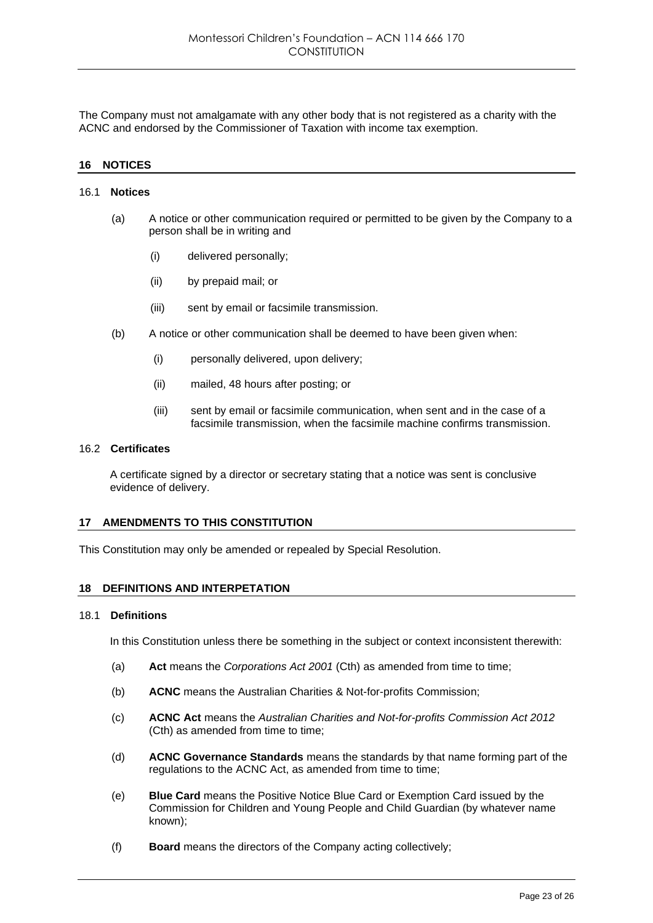The Company must not amalgamate with any other body that is not registered as a charity with the ACNC and endorsed by the Commissioner of Taxation with income tax exemption.

## **16 NOTICES**

#### 16.1 **Notices**

- (a) A notice or other communication required or permitted to be given by the Company to a person shall be in writing and
	- (i) delivered personally;
	- (ii) by prepaid mail; or
	- (iii) sent by email or facsimile transmission.
- (b) A notice or other communication shall be deemed to have been given when:
	- (i) personally delivered, upon delivery;
	- (ii) mailed, 48 hours after posting; or
	- (iii) sent by email or facsimile communication, when sent and in the case of a facsimile transmission, when the facsimile machine confirms transmission.

## 16.2 **Certificates**

A certificate signed by a director or secretary stating that a notice was sent is conclusive evidence of delivery.

## **17 AMENDMENTS TO THIS CONSTITUTION**

This Constitution may only be amended or repealed by Special Resolution.

#### **18 DEFINITIONS AND INTERPETATION**

#### 18.1 **Definitions**

In this Constitution unless there be something in the subject or context inconsistent therewith:

- (a) **Act** means the *Corporations Act 2001* (Cth) as amended from time to time;
- (b) **ACNC** means the Australian Charities & Not-for-profits Commission;
- (c) **ACNC Act** means the *Australian Charities and Not-for-profits Commission Act 2012*  (Cth) as amended from time to time;
- (d) **ACNC Governance Standards** means the standards by that name forming part of the regulations to the ACNC Act, as amended from time to time;
- (e) **Blue Card** means the Positive Notice Blue Card or Exemption Card issued by the Commission for Children and Young People and Child Guardian (by whatever name known);
- (f) **Board** means the directors of the Company acting collectively;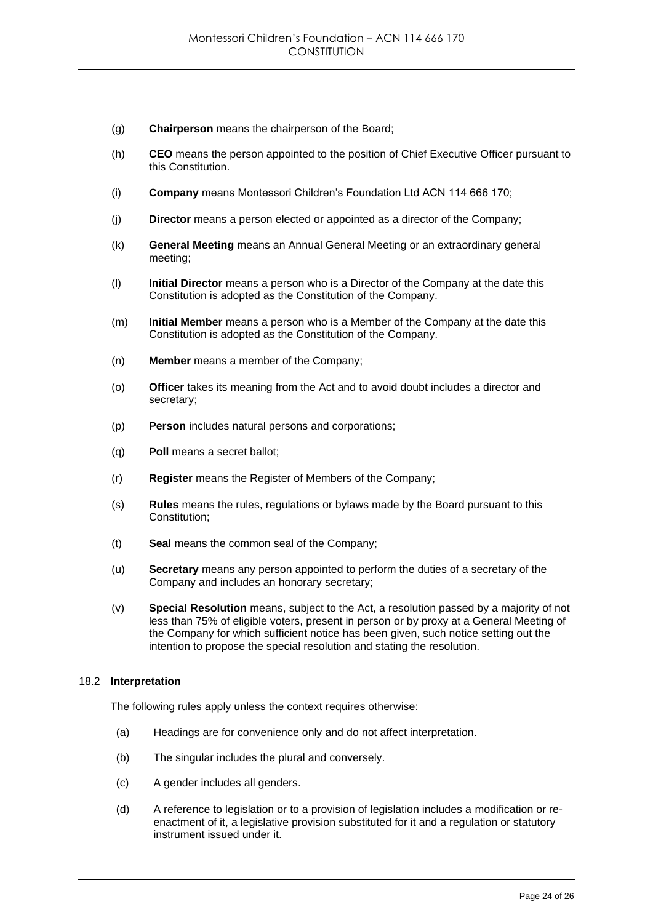- (g) **Chairperson** means the chairperson of the Board;
- (h) **CEO** means the person appointed to the position of Chief Executive Officer pursuant to this Constitution.
- (i) **Company** means Montessori Children's Foundation Ltd ACN 114 666 170;
- (j) **Director** means a person elected or appointed as a director of the Company;
- (k) **General Meeting** means an Annual General Meeting or an extraordinary general meeting;
- (l) **Initial Director** means a person who is a Director of the Company at the date this Constitution is adopted as the Constitution of the Company.
- (m) **Initial Member** means a person who is a Member of the Company at the date this Constitution is adopted as the Constitution of the Company.
- (n) **Member** means a member of the Company;
- (o) **Officer** takes its meaning from the Act and to avoid doubt includes a director and secretary;
- (p) **Person** includes natural persons and corporations;
- (q) **Poll** means a secret ballot;
- (r) **Register** means the Register of Members of the Company;
- (s) **Rules** means the rules, regulations or bylaws made by the Board pursuant to this Constitution;
- (t) **Seal** means the common seal of the Company;
- (u) **Secretary** means any person appointed to perform the duties of a secretary of the Company and includes an honorary secretary;
- (v) **Special Resolution** means, subject to the Act, a resolution passed by a majority of not less than 75% of eligible voters, present in person or by proxy at a General Meeting of the Company for which sufficient notice has been given, such notice setting out the intention to propose the special resolution and stating the resolution.

# 18.2 **Interpretation**

The following rules apply unless the context requires otherwise:

- (a) Headings are for convenience only and do not affect interpretation.
- (b) The singular includes the plural and conversely.
- (c) A gender includes all genders.
- (d) A reference to legislation or to a provision of legislation includes a modification or reenactment of it, a legislative provision substituted for it and a regulation or statutory instrument issued under it.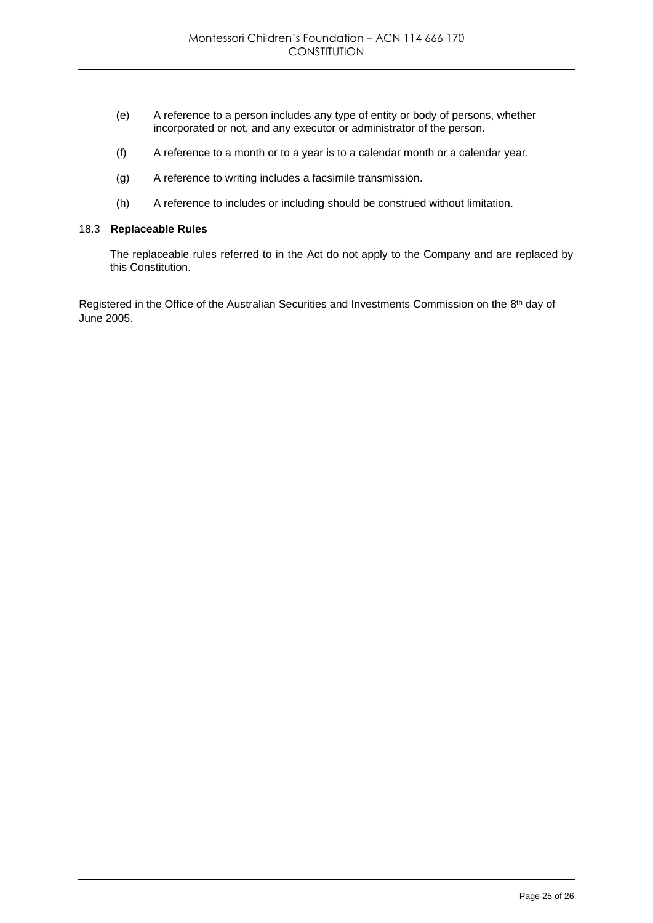- (e) A reference to a person includes any type of entity or body of persons, whether incorporated or not, and any executor or administrator of the person.
- (f) A reference to a month or to a year is to a calendar month or a calendar year.
- (g) A reference to writing includes a facsimile transmission.
- (h) A reference to includes or including should be construed without limitation.

## 18.3 **Replaceable Rules**

The replaceable rules referred to in the Act do not apply to the Company and are replaced by this Constitution.

Registered in the Office of the Australian Securities and Investments Commission on the 8<sup>th</sup> day of June 2005.